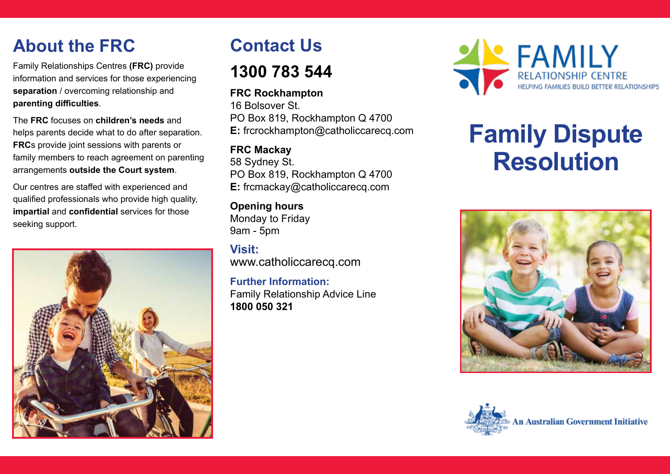# **About the FRC**

Family Relationships Centres **(FRC)** provide information and services for those experiencing **separation** / overcoming relationship and **parenting difficulties**.

The **FRC** focuses on **children's needs** and helps parents decide what to do after separation. **FRC**s provide joint sessions with parents or family members to reach agreement on parenting arrangements **outside the Court system**.

Our centres are staffed with experienced and qualified professionals who provide high quality, **impartial** and **confidential** services for those seeking support.



## **Contact Us**

### **1300 783 544**

#### **FRC Rockhampton**

16 Bolsover St. PO Box 819, Rockhampton Q 4700 **E:** frcrockhampton@catholiccarecq.com

#### **FRC Mackay**

58 Sydney St. PO Box 819, Rockhampton Q 4700 **E:** frcmackay@catholiccarecq.com

**Opening hours** Monday to Friday 9am - 5pm

**Visit:** www.catholiccarecq.com

**Further Information:** Family Relationship Advice Line **1800 050 321**



# **Family Dispute Resolution**